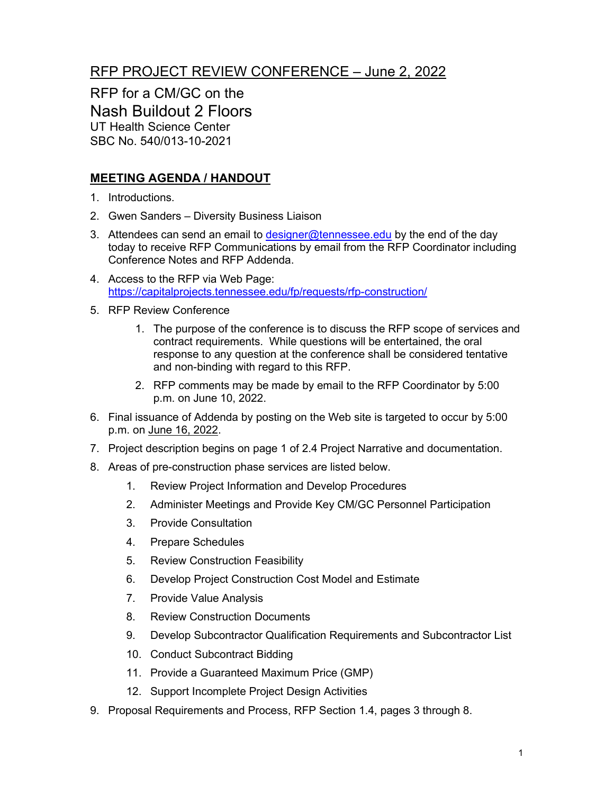## RFP PROJECT REVIEW CONFERENCE – June 2, 2022

RFP for a CM/GC on the Nash Buildout 2 Floors UT Health Science Center SBC No. 540/013-10-2021

## **MEETING AGENDA / HANDOUT**

- 1. Introductions.
- 2. Gwen Sanders Diversity Business Liaison
- 3. Attendees can send an email to [designer@tennessee.edu](mailto:designer@tennessee.edu) by the end of the day today to receive RFP Communications by email from the RFP Coordinator including Conference Notes and RFP Addenda.
- 4. Access to the RFP via Web Page: <https://capitalprojects.tennessee.edu/fp/requests/rfp-construction/>
- 5. RFP Review Conference
	- 1. The purpose of the conference is to discuss the RFP scope of services and contract requirements. While questions will be entertained, the oral response to any question at the conference shall be considered tentative and non-binding with regard to this RFP.
	- 2. RFP comments may be made by email to the RFP Coordinator by 5:00 p.m. on June 10, 2022.
- 6. Final issuance of Addenda by posting on the Web site is targeted to occur by 5:00 p.m. on June 16, 2022.
- 7. Project description begins on page 1 of 2.4 Project Narrative and documentation.
- 8. Areas of pre-construction phase services are listed below.
	- 1. Review Project Information and Develop Procedures
	- 2. Administer Meetings and Provide Key CM/GC Personnel Participation
	- 3. Provide Consultation
	- 4. Prepare Schedules
	- 5. Review Construction Feasibility
	- 6. Develop Project Construction Cost Model and Estimate
	- 7. Provide Value Analysis
	- 8. Review Construction Documents
	- 9. Develop Subcontractor Qualification Requirements and Subcontractor List
	- 10. Conduct Subcontract Bidding
	- 11. Provide a Guaranteed Maximum Price (GMP)
	- 12. Support Incomplete Project Design Activities
- 9. Proposal Requirements and Process, RFP Section 1.4, pages 3 through 8.